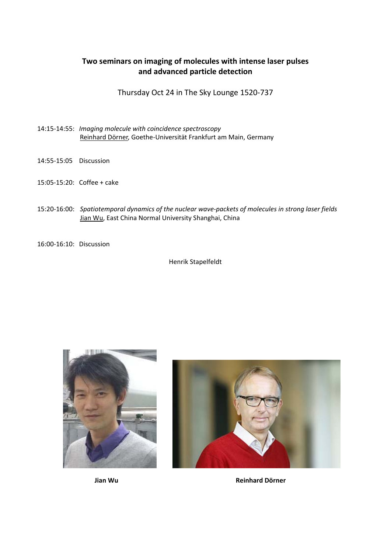## **Two seminars on imaging of molecules with intense laser pulses and advanced particle detection**

Thursday Oct 24 in The Sky Lounge 1520‐737

- 14:15‐14:55: *Imaging molecule with coincidence spectroscopy* Reinhard Dörner, Goethe‐Universität Frankfurt am Main, Germany
- 14:55‐15:05 Discussion
- 15:05‐15:20: Coffee + cake
- 15:20‐16:00: *Spatiotemporal dynamics of the nuclear wave‐packets of molecules in strong laser fields* Jian Wu, East China Normal University Shanghai, China
- 16:00‐16:10: Discussion

Henrik Stapelfeldt





**Jian Wu Reinhard Dörner**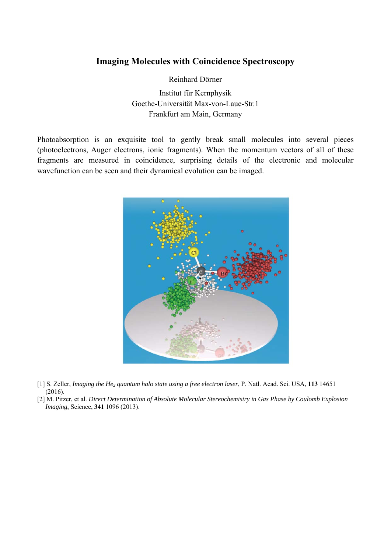## **Imaging Molecules with Coincidence Spectroscopy**

Reinhard Dörner

Institut für Kernphysik Goethe-Universität Max-von-Laue-Str.1 Frankfurt am Main, Germany

Photoabsorption is an exquisite tool to gently break small molecules into several pieces (photoelectrons, Auger electrons, ionic fragments). When the momentum vectors of all of these fragments are measured in coincidence, surprising details of the electronic and molecular wavefunction can be seen and their dynamical evolution can be imaged.



- [1] S. Zeller, *Imaging the He2 quantum halo state using a free electron laser*, P. Natl. Acad. Sci. USA, **113** 14651 (2016).
- [2] M. Pitzer, et al. *Direct Determination of Absolute Molecular Stereochemistry in Gas Phase by Coulomb Explosion Imaging*, Science, **341** 1096 (2013).